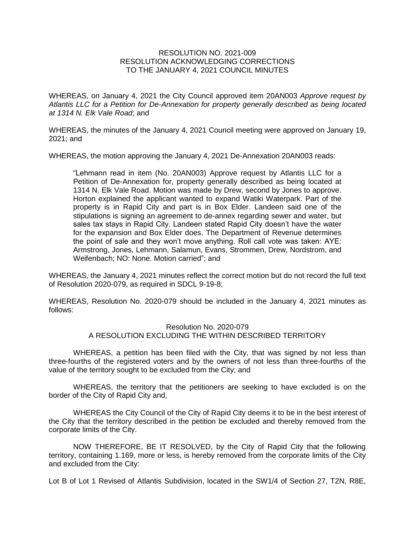## RESOLUTION NO. 2021-009 RESOLUTION ACKNOWLEDGING CORRECTIONS TO THE JANUARY 4, 2021 COUNCIL MINUTES

WHEREAS, on January 4, 2021 the City Council approved item 20AN003 *Approve request by Atlantis LLC for a Petition for De-Annexation for property generally described as being located at 1314 N. Elk Vale Road*; and

WHEREAS, the minutes of the January 4, 2021 Council meeting were approved on January 19, 2021; and

WHEREAS, the motion approving the January 4, 2021 De-Annexation 20AN003 reads:

"Lehmann read in item (No. 20AN003) Approve request by Atlantis LLC for a Petition of De-Annexation for, property generally described as being located at 1314 N. Elk Vale Road. Motion was made by Drew, second by Jones to approve. Horton explained the applicant wanted to expand Watiki Waterpark. Part of the property is in Rapid City and part is in Box Elder. Landeen said one of the stipulations is signing an agreement to de-annex regarding sewer and water, but sales tax stays in Rapid City. Landeen stated Rapid City doesn't have the water for the expansion and Box Elder does. The Department of Revenue determines the point of sale and they won't move anything. Roll call vote was taken: AYE: Armstrong, Jones, Lehmann, Salamun, Evans, Strommen, Drew, Nordstrom, and Weifenbach; NO: None. Motion carried"; and

WHEREAS, the January 4, 2021 minutes reflect the correct motion but do not record the full text of Resolution 2020-079, as required in SDCL 9-19-8;

WHEREAS, Resolution No. 2020-079 should be included in the January 4, 2021 minutes as follows:

## Resolution No. 2020-079 A RESOLUTION EXCLUDING THE WITHIN DESCRIBED TERRITORY

WHEREAS, a petition has been filed with the City, that was signed by not less than three-fourths of the registered voters and by the owners of not less than three-fourths of the value of the territory sought to be excluded from the City; and

WHEREAS, the territory that the petitioners are seeking to have excluded is on the border of the City of Rapid City and,

WHEREAS the City Council of the City of Rapid City deems it to be in the best interest of the City that the territory described in the petition be excluded and thereby removed from the corporate limits of the City.

NOW THEREFORE, BE IT RESOLVED, by the City of Rapid City that the following territory, containing 1.169, more or less, is hereby removed from the corporate limits of the City and excluded from the City:

Lot B of Lot 1 Revised of Atlantis Subdivision, located in the SW1/4 of Section 27, T2N, R8E,